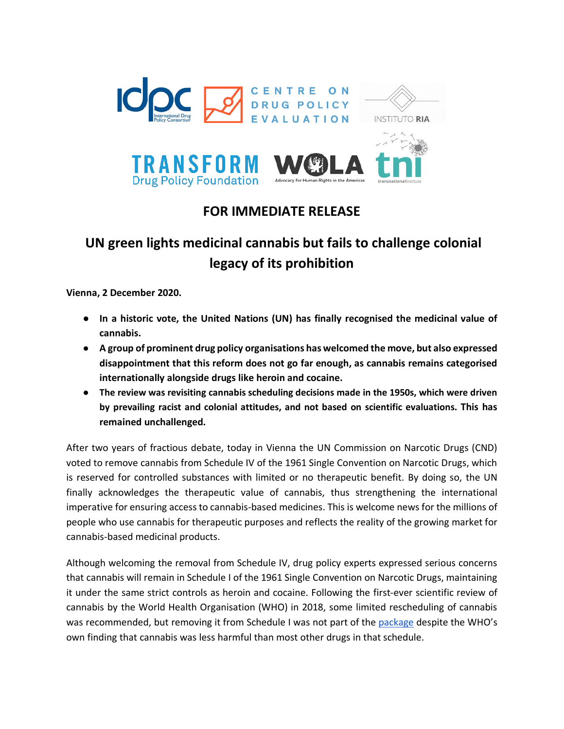

# **FOR IMMEDIATE RELEASE**

# **UN green lights medicinal cannabis but fails to challenge colonial legacy of its prohibition**

**Vienna, 2 December 2020.** 

- **In a historic vote, the United Nations (UN) has finally recognised the medicinal value of cannabis.**
- **A group of prominent drug policy organisations has welcomed the move, but also expressed disappointment that this reform does not go far enough, as cannabis remains categorised internationally alongside drugs like heroin and cocaine.**
- **The review was revisiting cannabis scheduling decisions made in the 1950s, which were driven by prevailing racist and colonial attitudes, and not based on scientific evaluations. This has remained unchallenged.**

After two years of fractious debate, today in Vienna the UN Commission on Narcotic Drugs (CND) voted to remove cannabis from Schedule IV of the 1961 Single Convention on Narcotic Drugs, which is reserved for controlled substances with limited or no therapeutic benefit. By doing so, the UN finally acknowledges the therapeutic value of cannabis, thus strengthening the international imperative for ensuring access to cannabis-based medicines. This is welcome news for the millions of people who use cannabis for therapeutic purposes and reflects the reality of the growing market for cannabis-based medicinal products.

Although welcoming the removal from Schedule IV, drug policy experts expressed serious concerns that cannabis will remain in Schedule I of the 1961 Single Convention on Narcotic Drugs, maintaining it under the same strict controls as heroin and cocaine. Following the first-ever scientific review of cannabis by the World Health Organisation (WHO) in 2018, some limited rescheduling of cannabis was recommended, but removing it from Schedule I was not part of th[e](https://www.who.int/publications/m/item/ecdd-41-cannabis-recommendations) [package](https://www.who.int/publications/m/item/ecdd-41-cannabis-recommendations) despite the WHO's own finding that cannabis was less harmful than most other drugs in that schedule.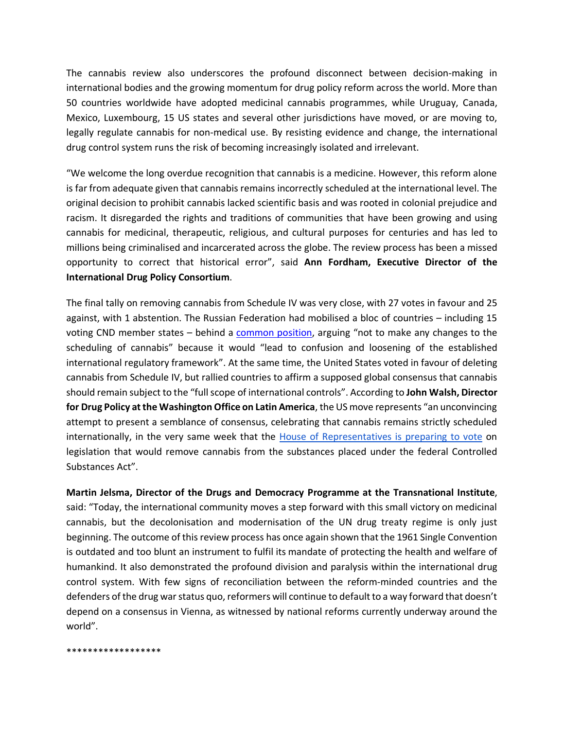The cannabis review also underscores the profound disconnect between decision-making in international bodies and the growing momentum for drug policy reform across the world. More than 50 countries worldwide have adopted medicinal cannabis programmes, while Uruguay, Canada, Mexico, Luxembourg, 15 US states and several other jurisdictions have moved, or are moving to, legally regulate cannabis for non-medical use. By resisting evidence and change, the international drug control system runs the risk of becoming increasingly isolated and irrelevant.

"We welcome the long overdue recognition that cannabis is a medicine. However, this reform alone is far from adequate given that cannabis remains incorrectly scheduled at the international level. The original decision to prohibit cannabis lacked scientific basis and was rooted in colonial prejudice and racism. It disregarded the rights and traditions of communities that have been growing and using cannabis for medicinal, therapeutic, religious, and cultural purposes for centuries and has led to millions being criminalised and incarcerated across the globe. The review process has been a missed opportunity to correct that historical error", said **Ann Fordham, Executive Director of the International Drug Policy Consortium**.

The final tally on removing cannabis from Schedule IV was very close, with 27 votes in favour and 25 against, with 1 abstention. The Russian Federation had mobilised a bloc of countries – including 15 voting CND member states – behind a [common position,](https://www.unodc.org/documents/commissions/CND/CND_Sessions/CND_63/2nd_ISM/Russia.pdf) arguing "not to make any changes to the scheduling of cannabis" because it would "lead to confusion and loosening of the established international regulatory framework". At the same time, the United States voted in favour of deleting cannabis from Schedule IV, but rallied countries to affirm a supposed global consensus that cannabis should remain subject to the "full scope of international controls". According to **John Walsh, Director for Drug Policy at the Washington Office on Latin America**, the US move represents "an unconvincing attempt to present a semblance of consensus, celebrating that cannabis remains strictly scheduled internationally, in the very same week that the [House of Representatives is preparing to vote](https://www.wola.org/analysis/tale-of-two-cannabis-votes/) on legislation that would remove cannabis from the substances placed under the federal Controlled Substances Act".

**Martin Jelsma, Director of the Drugs and Democracy Programme at the Transnational Institute**, said: "Today, the international community moves a step forward with this small victory on medicinal cannabis, but the decolonisation and modernisation of the UN drug treaty regime is only just beginning. The outcome of this review process has once again shown that the 1961 Single Convention is outdated and too blunt an instrument to fulfil its mandate of protecting the health and welfare of humankind. It also demonstrated the profound division and paralysis within the international drug control system. With few signs of reconciliation between the reform-minded countries and the defenders of the drug war status quo, reformers will continue to default to a way forward that doesn't depend on a consensus in Vienna, as witnessed by national reforms currently underway around the world".

\*\*\*\*\*\*\*\*\*\*\*\*\*\*\*\*\*\*